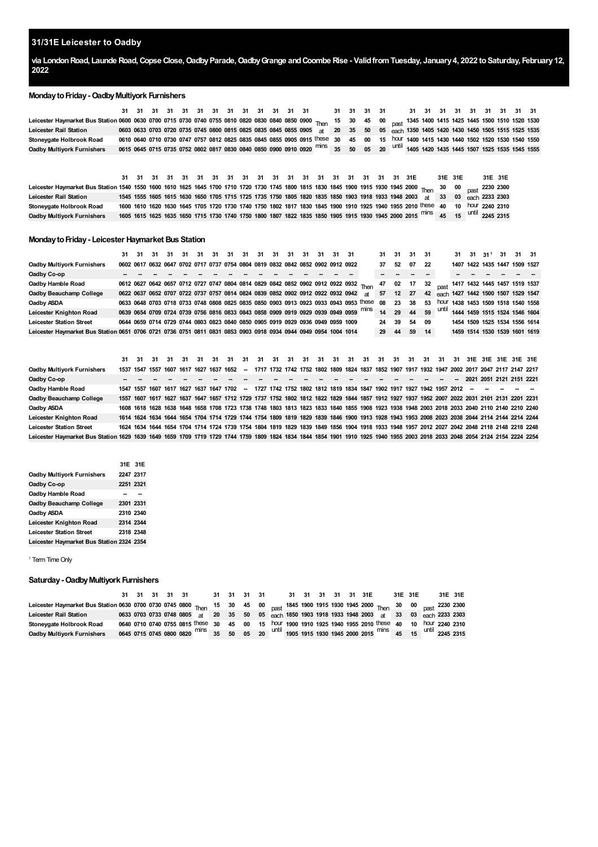## **31/31E Leicester to Oadby**

via London Road, Launde Road, Copse Close, Oadby Parade, Oadby Grange and Coombe Rise - Valid from Tuesday, January 4, 2022 to Saturday, February 12, 

## **MondaytoFriday-OadbyMultiyork Furnishers**

| Leicester Haymarket Bus Station 0600 0630 0700 0715 0730 0740 0755 0810 0820 0830 0840 0850 0900 Thom 15 30 45 00 not 1345 1400 1415 1425 1445 1500 1510 1520 1530 |  |  |  |  |  |  |                                                                                                                                                            |  |  |  |  |  |  |  |
|--------------------------------------------------------------------------------------------------------------------------------------------------------------------|--|--|--|--|--|--|------------------------------------------------------------------------------------------------------------------------------------------------------------|--|--|--|--|--|--|--|
| Leicester Rail Station                                                                                                                                             |  |  |  |  |  |  | 0603 0633 0703 0720 0735 0745 0800 0815 0825 0835 0845 0855 0905 at 20 35 50 05 each 1350 1405 1420 1430 1450 1505 1515 1525 1535                          |  |  |  |  |  |  |  |
| Stonevaate Holbrook Road                                                                                                                                           |  |  |  |  |  |  | 0610 0640 0710 0730 0747 0757 0812 0825 0835 0845 0855 0905 0915 these 30 45 00 15 hour 1400 1415 1430 1440 1502 1520 1530 1540 1550                       |  |  |  |  |  |  |  |
| <b>Oadby Multivork Furnishers</b>                                                                                                                                  |  |  |  |  |  |  | 0615 0645 0715 0735 0752 0802 0817 0830 0840 0850 0900 0910 0920 <sup>mins</sup> 35 50 05 20 <sup>until</sup> 1405 1420 1435 1445 1507 1525 1535 1545 1555 |  |  |  |  |  |  |  |

**Leicester Haymarket Bus Station Leicester Rail Station Stoneygate Holbrook Road** Oadby Multiyork Furnishers 1605 1615 1625 1635 1650 1715 1730 1740 1750 1800 1807 1822 1835 1850 1905 1915 1930 1945 2000 2015 <sup>minS</sup> 45 15 <sup>Until</sup> 2245 2315 **31 31 31 31 31 31 31 31 31 31 31 31 31 31 31 31 31 31** 1600 1610 1620 1630 1645 1705 1720 1730 1740 1750 1802 1817 1830 1845 1900 1910 1925 1940 1955 2010 <sup>these</sup> 40 10 <sup>hour</sup> 2240 2310 **31E 31E 31E 31E** Then  $\frac{30}{20}$  **00** past **2003** at **33 03** each **33 03 2233 31E** 

#### **MondaytoFriday- Leicester Haymarket Bus Station**

|                                                                                                                 |                                                                                      | 31 31 | 31 |  |  |  | 31 31 31 31 31 31 31 31 31 31                                                   |  | 31 | 31 | 31 31 |                                                                                       |           |       | 31 31 31 31 |       |     |      |  | $31 \quad 31 \quad 31^1$ | 31 | 31 31                                 |                                    |
|-----------------------------------------------------------------------------------------------------------------|--------------------------------------------------------------------------------------|-------|----|--|--|--|---------------------------------------------------------------------------------|--|----|----|-------|---------------------------------------------------------------------------------------|-----------|-------|-------------|-------|-----|------|--|--------------------------|----|---------------------------------------|------------------------------------|
| <b>Oadby Multiyork Furnishers</b>                                                                               |                                                                                      |       |    |  |  |  | 0602 0617 0632 0647 0702 0717 0737 0754 0804 0819 0832 0842 0852 0902 0912 0922 |  |    |    |       |                                                                                       |           | 37    | 52          | 07    | -22 |      |  |                          |    | 1407 1422 1435 1447 1509 1527         |                                    |
| Oadby Co-op                                                                                                     |                                                                                      |       |    |  |  |  |                                                                                 |  |    |    |       |                                                                                       |           |       |             |       |     |      |  |                          |    |                                       |                                    |
| Oadby Hamble Road                                                                                               | 0612 0627 0642 0657 0712 0727 0747 0804 0814 0829 0842 0852 0902 0912 0922 0932 Then |       |    |  |  |  |                                                                                 |  |    |    |       |                                                                                       |           | 47    | 02          | 17 32 |     |      |  |                          |    |                                       | past 1417 1432 1445 1457 1519 1537 |
| Oadby Beauchamp College                                                                                         | 0622 0637 0652 0707 0722 0737 0757 0814 0824 0839 0852 0902 0912 0922 0932 0942      |       |    |  |  |  |                                                                                 |  |    |    |       |                                                                                       | <b>at</b> | 57    | 12 27       |       |     |      |  |                          |    | 42 each 1427 1442 1500 1507 1529 1547 |                                    |
| Oadby ASDA                                                                                                      |                                                                                      |       |    |  |  |  |                                                                                 |  |    |    |       | 0633 0648 0703 0718 0733 0748 0808 0825 0835 0850 0903 0913 0923 0933 0943 0953 these |           | 08    | 23          | 38    | 53  | hour |  |                          |    |                                       | 1438 1453 1509 1518 1540 1558      |
| Leicester Knighton Road                                                                                         |                                                                                      |       |    |  |  |  | 0639 0654 0709 0724 0739 0756 0816 0833 0843 0858 0909 0919 0929 0939 0949 0959 |  |    |    |       |                                                                                       |           | 14 29 |             | 44    | 59  |      |  |                          |    | 1444 1459 1515 1524 1546 1604         |                                    |
| <b>Leicester Station Street</b>                                                                                 |                                                                                      |       |    |  |  |  | 0644 0659 0714 0729 0744 0803 0823 0840 0850 0905 0919 0929 0936 0949 0959 1009 |  |    |    |       |                                                                                       |           | 24 39 |             | 54 09 |     |      |  |                          |    | 1454 1509 1525 1534 1556 1614         |                                    |
| Leicester Haymarket Bus Station 0651 0706 0721 0736 0751 0811 0831 0853 0903 0918 0934 0944 0949 0954 1004 1014 |                                                                                      |       |    |  |  |  |                                                                                 |  |    |    |       |                                                                                       |           | 29    | 44          | 59    | 14  |      |  |                          |    | 1459 1514 1530 1539 1601 1619         |                                    |

|                                                                                                                                                                             |                                                                                                                                             | 31 31 31 |  |  |  |  |  |  |  |                                                                                                                                             |  |  |  |  |  |  |
|-----------------------------------------------------------------------------------------------------------------------------------------------------------------------------|---------------------------------------------------------------------------------------------------------------------------------------------|----------|--|--|--|--|--|--|--|---------------------------------------------------------------------------------------------------------------------------------------------|--|--|--|--|--|--|
| Oadby Multiyork Furnishers                                                                                                                                                  | 1537 1547 1557 1607 1617 1627 1637 1652 -                                                                                                   |          |  |  |  |  |  |  |  | 1717 1732 1742 1752 1802 1809 1824 1837 1852 1907 1917 1932 1947 2002 2017 2047 2117 2147 2217                                              |  |  |  |  |  |  |
| Oadby Co-op                                                                                                                                                                 |                                                                                                                                             |          |  |  |  |  |  |  |  |                                                                                                                                             |  |  |  |  |  |  |
| Oadby Hamble Road                                                                                                                                                           | 1547 1557 1607 1617 1627 1637 1647 1702 - 1727 1742 1752 1802 1812 1819 1834 1847 1902 1917 1927 1942 1957 2012 - - - - - -                 |          |  |  |  |  |  |  |  |                                                                                                                                             |  |  |  |  |  |  |
| Oadby Beauchamp College                                                                                                                                                     | 1557 1607 1617 1627 1637 1647 1657 1712 1729 1737 1752 1802 1812 1822 1829 1844 1857 1912 1927 1937 1952 2007 2022 2031 2101 2131 2201 2231 |          |  |  |  |  |  |  |  |                                                                                                                                             |  |  |  |  |  |  |
| Oadby ASDA                                                                                                                                                                  |                                                                                                                                             |          |  |  |  |  |  |  |  | 1608 1618 1628 1638 1648 1658 1708 1723 1738 1748 1803 1813 1823 1833 1840 1855 1908 1923 1938 1948 2003 2018 2033 2040 2110 2140 2210 2240 |  |  |  |  |  |  |
| Leicester Knighton Road                                                                                                                                                     | 1614 1624 1634 1644 1654 1704 1714 1729 1744 1754 1809 1819 1829 1839 1846 1900 1913 1928 1943 1953 2008 2023 2038 2044 2114 2144 2214 2244 |          |  |  |  |  |  |  |  |                                                                                                                                             |  |  |  |  |  |  |
| <b>Leicester Station Street</b>                                                                                                                                             | 1624 1634 1644 1654 1704 1714 1724 1739 1754 1804 1819 1829 1839 1849 1856 1904 1918 1933 1948 1957 2012 2027 2042 2048 2118 2148 2218 2248 |          |  |  |  |  |  |  |  |                                                                                                                                             |  |  |  |  |  |  |
| Leicester Haymarket Bus Station 1629 1639 1649 1659 1709 1719 1729 1744 1759 1809 1824 1834 1844 1854 1901 1910 1925 1940 1955 2003 2018 2033 2048 2054 2124 2154 2224 2254 |                                                                                                                                             |          |  |  |  |  |  |  |  |                                                                                                                                             |  |  |  |  |  |  |
|                                                                                                                                                                             |                                                                                                                                             |          |  |  |  |  |  |  |  |                                                                                                                                             |  |  |  |  |  |  |

|                                           | 31E 31E   |  |
|-------------------------------------------|-----------|--|
| Oadby Multiyork Furnishers                | 2247 2317 |  |
| Oadby Co-op                               | 2251 2321 |  |
| Oadby Hamble Road                         |           |  |
| Oadby Beauchamp College                   | 2301 2331 |  |
| Oadby ASDA                                | 2310 2340 |  |
| Leicester Knighton Road                   | 2314 2344 |  |
| <b>Leicester Station Street</b>           | 2318 2348 |  |
| Leicester Haymarket Bus Station 2324 2354 |           |  |

<span id="page-0-0"></span><sup>1</sup> Term Time Only

## **Saturday-OadbyMultiyork Furnishers**

|                                                                                                                                        |  |  |                                                                                                          |  |  |  |  |  |  |  |  | 31E 31E |
|----------------------------------------------------------------------------------------------------------------------------------------|--|--|----------------------------------------------------------------------------------------------------------|--|--|--|--|--|--|--|--|---------|
| Leicester Haymarket Bus Station 0630 0700 0730 0745 0800 Then 15 30 45 00 past 1845 1900 1915 1930 1945 2000 Then 30 00 past 2230 2300 |  |  |                                                                                                          |  |  |  |  |  |  |  |  |         |
| Leicester Rail Station 0633 0703 0733 0748 0805 at 20 35 50 05 each 1850 1903 1918 1933 1948 2003 at 33 03 each 2233 2303              |  |  |                                                                                                          |  |  |  |  |  |  |  |  |         |
| Stoneygate Holbrook Road                                                                                                               |  |  | 0640 0710 0740 0755 0815 these 30 45 00 15 hour 1900 1910 1925 1940 1955 2010 these 40 10 hour 2240 2310 |  |  |  |  |  |  |  |  |         |
| Oadby Multiyork Furnishers 0645 0715 0745 0800 0820 nins 35 50 05 20 Until 1905 1915 1930 1945 2000 2015 nins 45 15 Until 2245 2315    |  |  |                                                                                                          |  |  |  |  |  |  |  |  |         |